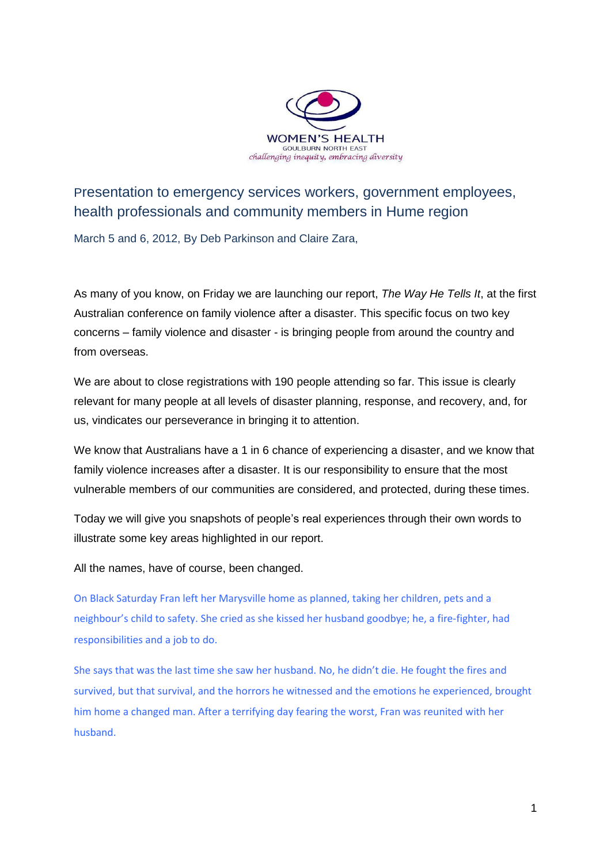

Presentation to emergency services workers, government employees, health professionals and community members in Hume region

March 5 and 6, 2012, By Deb Parkinson and Claire Zara,

As many of you know, on Friday we are launching our report, *The Way He Tells It*, at the first Australian conference on family violence after a disaster. This specific focus on two key concerns – family violence and disaster - is bringing people from around the country and from overseas.

We are about to close registrations with 190 people attending so far. This issue is clearly relevant for many people at all levels of disaster planning, response, and recovery, and, for us, vindicates our perseverance in bringing it to attention.

We know that Australians have a 1 in 6 chance of experiencing a disaster, and we know that family violence increases after a disaster. It is our responsibility to ensure that the most vulnerable members of our communities are considered, and protected, during these times.

Today we will give you snapshots of people's real experiences through their own words to illustrate some key areas highlighted in our report.

All the names, have of course, been changed.

On Black Saturday Fran left her Marysville home as planned, taking her children, pets and a neighbour's child to safety. She cried as she kissed her husband goodbye; he, a fire-fighter, had responsibilities and a job to do.

She says that was the last time she saw her husband. No, he didn't die. He fought the fires and survived, but that survival, and the horrors he witnessed and the emotions he experienced, brought him home a changed man. After a terrifying day fearing the worst, Fran was reunited with her husband.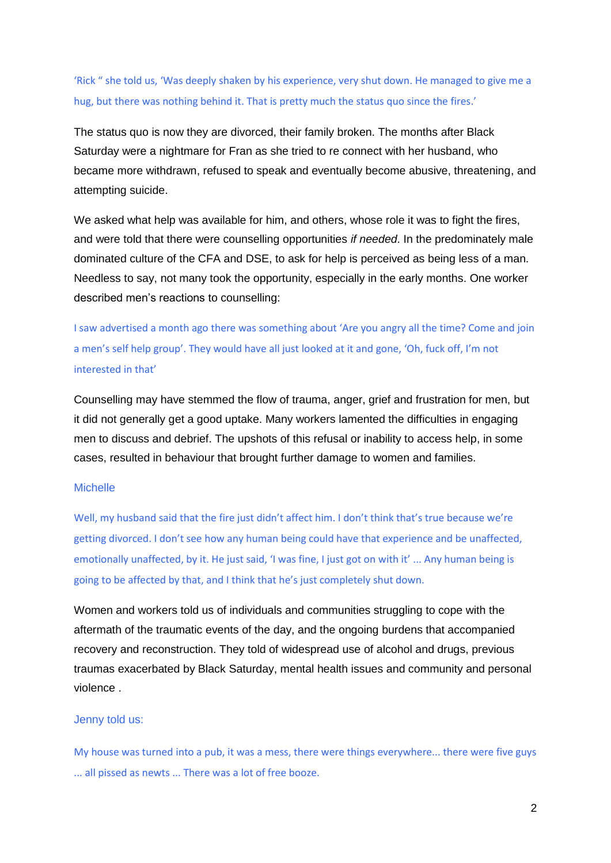'Rick " she told us, 'Was deeply shaken by his experience, very shut down. He managed to give me a hug, but there was nothing behind it. That is pretty much the status quo since the fires.'

The status quo is now they are divorced, their family broken. The months after Black Saturday were a nightmare for Fran as she tried to re connect with her husband, who became more withdrawn, refused to speak and eventually become abusive, threatening, and attempting suicide.

We asked what help was available for him, and others, whose role it was to fight the fires, and were told that there were counselling opportunities *if needed*. In the predominately male dominated culture of the CFA and DSE, to ask for help is perceived as being less of a man. Needless to say, not many took the opportunity, especially in the early months. One worker described men's reactions to counselling:

I saw advertised a month ago there was something about 'Are you angry all the time? Come and join a men's self help group'. They would have all just looked at it and gone, 'Oh, fuck off, I'm not interested in that'

Counselling may have stemmed the flow of trauma, anger, grief and frustration for men, but it did not generally get a good uptake. Many workers lamented the difficulties in engaging men to discuss and debrief. The upshots of this refusal or inability to access help, in some cases, resulted in behaviour that brought further damage to women and families.

### **Michelle**

Well, my husband said that the fire just didn't affect him. I don't think that's true because we're getting divorced. I don't see how any human being could have that experience and be unaffected, emotionally unaffected, by it. He just said, 'I was fine, I just got on with it' ... Any human being is going to be affected by that, and I think that he's just completely shut down.

Women and workers told us of individuals and communities struggling to cope with the aftermath of the traumatic events of the day, and the ongoing burdens that accompanied recovery and reconstruction. They told of widespread use of alcohol and drugs, previous traumas exacerbated by Black Saturday, mental health issues and community and personal violence .

#### Jenny told us:

My house was turned into a pub, it was a mess, there were things everywhere... there were five guys ... all pissed as newts ... There was a lot of free booze.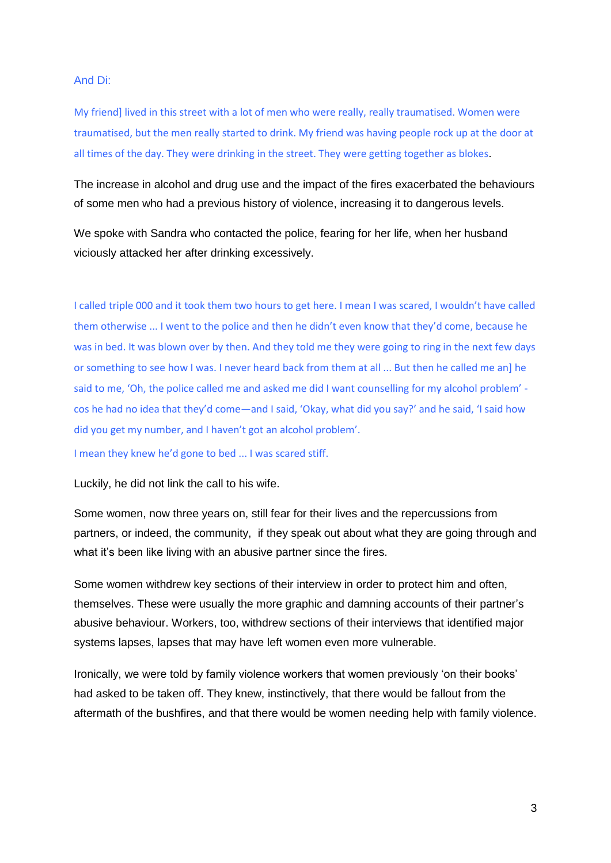#### And Di:

My friend] lived in this street with a lot of men who were really, really traumatised. Women were traumatised, but the men really started to drink. My friend was having people rock up at the door at all times of the day. They were drinking in the street. They were getting together as blokes.

The increase in alcohol and drug use and the impact of the fires exacerbated the behaviours of some men who had a previous history of violence, increasing it to dangerous levels.

We spoke with Sandra who contacted the police, fearing for her life, when her husband viciously attacked her after drinking excessively.

I called triple 000 and it took them two hours to get here. I mean I was scared, I wouldn't have called them otherwise ... I went to the police and then he didn't even know that they'd come, because he was in bed. It was blown over by then. And they told me they were going to ring in the next few days or something to see how I was. I never heard back from them at all ... But then he called me an] he said to me, 'Oh, the police called me and asked me did I want counselling for my alcohol problem' cos he had no idea that they'd come—and I said, 'Okay, what did you say?' and he said, 'I said how did you get my number, and I haven't got an alcohol problem'.

I mean they knew he'd gone to bed ... I was scared stiff.

Luckily, he did not link the call to his wife.

Some women, now three years on, still fear for their lives and the repercussions from partners, or indeed, the community, if they speak out about what they are going through and what it's been like living with an abusive partner since the fires.

Some women withdrew key sections of their interview in order to protect him and often, themselves. These were usually the more graphic and damning accounts of their partner's abusive behaviour. Workers, too, withdrew sections of their interviews that identified major systems lapses, lapses that may have left women even more vulnerable.

Ironically, we were told by family violence workers that women previously 'on their books' had asked to be taken off. They knew, instinctively, that there would be fallout from the aftermath of the bushfires, and that there would be women needing help with family violence.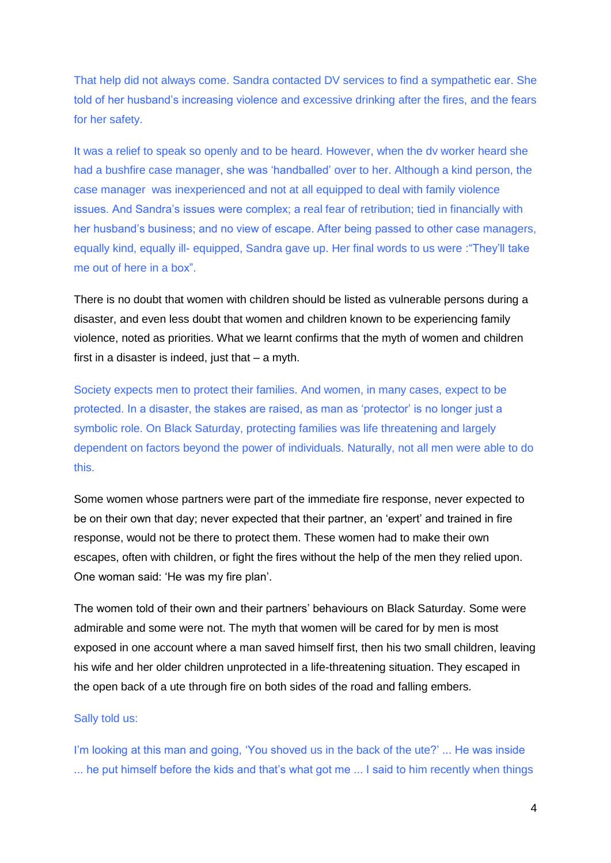That help did not always come. Sandra contacted DV services to find a sympathetic ear. She told of her husband's increasing violence and excessive drinking after the fires, and the fears for her safety.

It was a relief to speak so openly and to be heard. However, when the dv worker heard she had a bushfire case manager, she was 'handballed' over to her. Although a kind person, the case manager was inexperienced and not at all equipped to deal with family violence issues. And Sandra's issues were complex; a real fear of retribution; tied in financially with her husband's business; and no view of escape. After being passed to other case managers, equally kind, equally ill- equipped, Sandra gave up. Her final words to us were : "They'll take me out of here in a box"

There is no doubt that women with children should be listed as vulnerable persons during a disaster, and even less doubt that women and children known to be experiencing family violence, noted as priorities. What we learnt confirms that the myth of women and children first in a disaster is indeed, just that – a myth.

Society expects men to protect their families. And women, in many cases, expect to be protected. In a disaster, the stakes are raised, as man as 'protector' is no longer just a symbolic role. On Black Saturday, protecting families was life threatening and largely dependent on factors beyond the power of individuals. Naturally, not all men were able to do this.

Some women whose partners were part of the immediate fire response, never expected to be on their own that day; never expected that their partner, an 'expert' and trained in fire response, would not be there to protect them. These women had to make their own escapes, often with children, or fight the fires without the help of the men they relied upon. One woman said: 'He was my fire plan'.

The women told of their own and their partners' behaviours on Black Saturday. Some were admirable and some were not. The myth that women will be cared for by men is most exposed in one account where a man saved himself first, then his two small children, leaving his wife and her older children unprotected in a life-threatening situation. They escaped in the open back of a ute through fire on both sides of the road and falling embers.

#### Sally told us:

I'm looking at this man and going, 'You shoved us in the back of the ute?' ... He was inside ... he put himself before the kids and that's what got me ... I said to him recently when things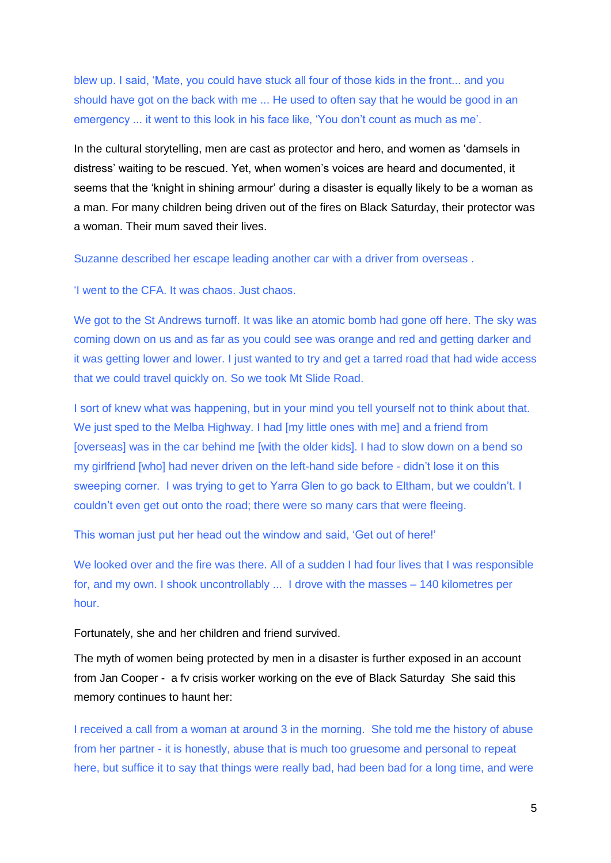blew up. I said, 'Mate, you could have stuck all four of those kids in the front... and you should have got on the back with me ... He used to often say that he would be good in an emergency ... it went to this look in his face like, 'You don't count as much as me'.

In the cultural storytelling, men are cast as protector and hero, and women as 'damsels in distress' waiting to be rescued. Yet, when women's voices are heard and documented, it seems that the 'knight in shining armour' during a disaster is equally likely to be a woman as a man. For many children being driven out of the fires on Black Saturday, their protector was a woman. Their mum saved their lives.

Suzanne described her escape leading another car with a driver from overseas .

‗I went to the CFA. It was chaos. Just chaos.

We got to the St Andrews turnoff. It was like an atomic bomb had gone off here. The sky was coming down on us and as far as you could see was orange and red and getting darker and it was getting lower and lower. I just wanted to try and get a tarred road that had wide access that we could travel quickly on. So we took Mt Slide Road.

I sort of knew what was happening, but in your mind you tell yourself not to think about that. We just sped to the Melba Highway. I had [my little ones with me] and a friend from [overseas] was in the car behind me [with the older kids]. I had to slow down on a bend so my girlfriend [who] had never driven on the left-hand side before - didn't lose it on this sweeping corner. I was trying to get to Yarra Glen to go back to Eltham, but we couldn't. I couldn't even get out onto the road; there were so many cars that were fleeing.

This woman just put her head out the window and said, 'Get out of here!'

We looked over and the fire was there. All of a sudden I had four lives that I was responsible for, and my own. I shook uncontrollably ... I drove with the masses – 140 kilometres per hour.

Fortunately, she and her children and friend survived.

The myth of women being protected by men in a disaster is further exposed in an account from Jan Cooper - a fv crisis worker working on the eve of Black Saturday She said this memory continues to haunt her:

I received a call from a woman at around 3 in the morning. She told me the history of abuse from her partner - it is honestly, abuse that is much too gruesome and personal to repeat here, but suffice it to say that things were really bad, had been bad for a long time, and were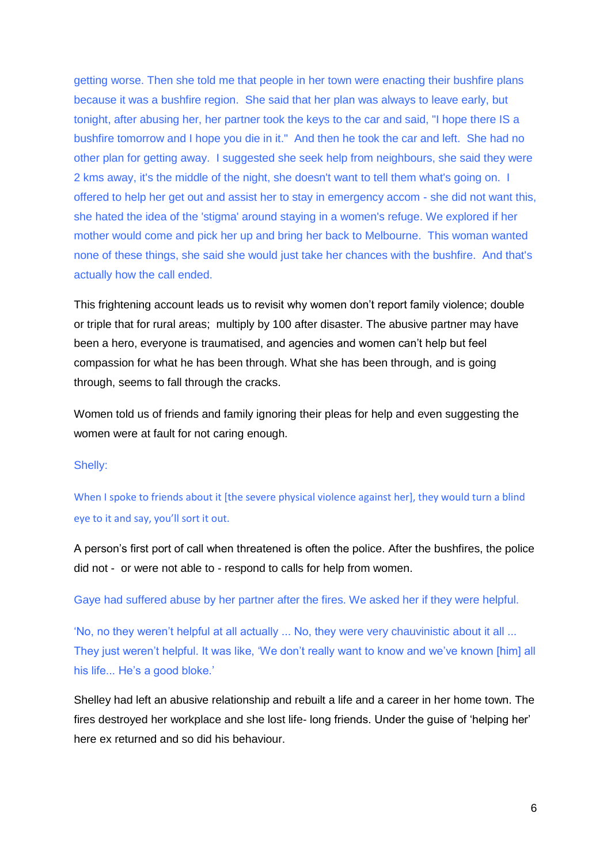getting worse. Then she told me that people in her town were enacting their bushfire plans because it was a bushfire region. She said that her plan was always to leave early, but tonight, after abusing her, her partner took the keys to the car and said, "I hope there IS a bushfire tomorrow and I hope you die in it." And then he took the car and left. She had no other plan for getting away. I suggested she seek help from neighbours, she said they were 2 kms away, it's the middle of the night, she doesn't want to tell them what's going on. I offered to help her get out and assist her to stay in emergency accom - she did not want this, she hated the idea of the 'stigma' around staying in a women's refuge. We explored if her mother would come and pick her up and bring her back to Melbourne. This woman wanted none of these things, she said she would just take her chances with the bushfire. And that's actually how the call ended.

This frightening account leads us to revisit why women don't report family violence; double or triple that for rural areas; multiply by 100 after disaster. The abusive partner may have been a hero, everyone is traumatised, and agencies and women can't help but feel compassion for what he has been through. What she has been through, and is going through, seems to fall through the cracks.

Women told us of friends and family ignoring their pleas for help and even suggesting the women were at fault for not caring enough.

### Shelly:

When I spoke to friends about it [the severe physical violence against her], they would turn a blind eye to it and say, you'll sort it out.

A person's first port of call when threatened is often the police. After the bushfires, the police did not - or were not able to - respond to calls for help from women.

Gaye had suffered abuse by her partner after the fires. We asked her if they were helpful.

‗No, no they weren't helpful at all actually ... No, they were very chauvinistic about it all ... They just weren't helpful. It was like, 'We don't really want to know and we've known [him] all his life... He's a good bloke.'

Shelley had left an abusive relationship and rebuilt a life and a career in her home town. The fires destroyed her workplace and she lost life- long friends. Under the guise of 'helping her' here ex returned and so did his behaviour.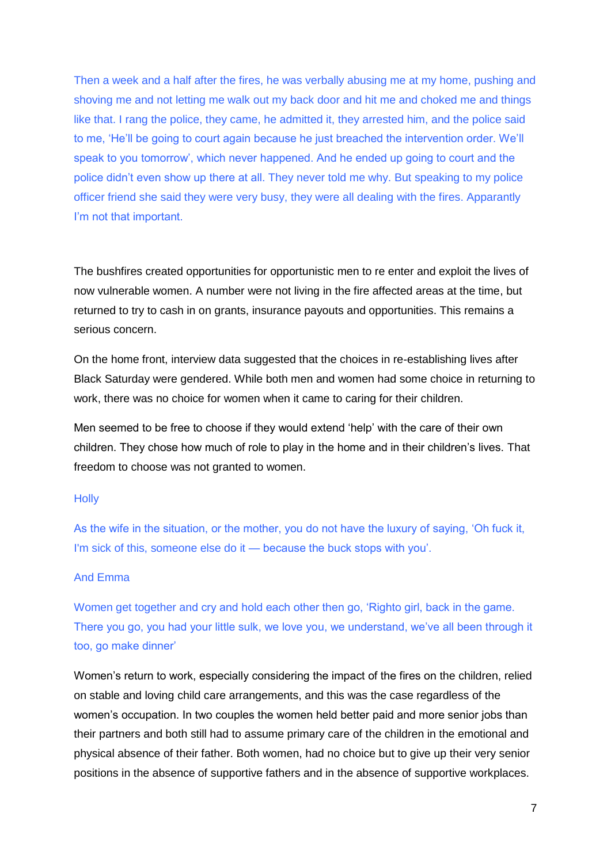Then a week and a half after the fires, he was verbally abusing me at my home, pushing and shoving me and not letting me walk out my back door and hit me and choked me and things like that. I rang the police, they came, he admitted it, they arrested him, and the police said to me, 'He'll be going to court again because he just breached the intervention order. We'll speak to you tomorrow', which never happened. And he ended up going to court and the police didn't even show up there at all. They never told me why. But speaking to my police officer friend she said they were very busy, they were all dealing with the fires. Apparantly I'm not that important.

The bushfires created opportunities for opportunistic men to re enter and exploit the lives of now vulnerable women. A number were not living in the fire affected areas at the time, but returned to try to cash in on grants, insurance payouts and opportunities. This remains a serious concern.

On the home front, interview data suggested that the choices in re-establishing lives after Black Saturday were gendered. While both men and women had some choice in returning to work, there was no choice for women when it came to caring for their children.

Men seemed to be free to choose if they would extend 'help' with the care of their own children. They chose how much of role to play in the home and in their children's lives. That freedom to choose was not granted to women.

# **Holly**

As the wife in the situation, or the mother, you do not have the luxury of saying, 'Oh fuck it, I'm sick of this, someone else do it — because the buck stops with you'.

# And Emma

Women get together and cry and hold each other then go, 'Righto girl, back in the game. There you go, you had your little sulk, we love you, we understand, we've all been through it too, go make dinner'

Women's return to work, especially considering the impact of the fires on the children, relied on stable and loving child care arrangements, and this was the case regardless of the women's occupation. In two couples the women held better paid and more senior jobs than their partners and both still had to assume primary care of the children in the emotional and physical absence of their father. Both women, had no choice but to give up their very senior positions in the absence of supportive fathers and in the absence of supportive workplaces.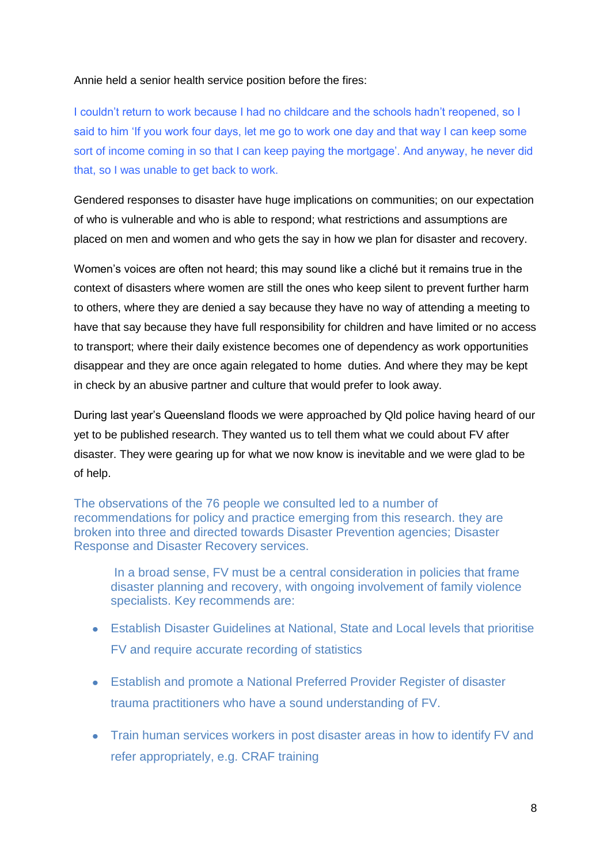# Annie held a senior health service position before the fires:

I couldn't return to work because I had no childcare and the schools hadn't reopened, so I said to him 'If you work four days, let me go to work one day and that way I can keep some sort of income coming in so that I can keep paying the mortgage'. And anyway, he never did that, so I was unable to get back to work.

Gendered responses to disaster have huge implications on communities; on our expectation of who is vulnerable and who is able to respond; what restrictions and assumptions are placed on men and women and who gets the say in how we plan for disaster and recovery.

Women's voices are often not heard; this may sound like a cliché but it remains true in the context of disasters where women are still the ones who keep silent to prevent further harm to others, where they are denied a say because they have no way of attending a meeting to have that say because they have full responsibility for children and have limited or no access to transport; where their daily existence becomes one of dependency as work opportunities disappear and they are once again relegated to home duties. And where they may be kept in check by an abusive partner and culture that would prefer to look away.

During last year's Queensland floods we were approached by Qld police having heard of our yet to be published research. They wanted us to tell them what we could about FV after disaster. They were gearing up for what we now know is inevitable and we were glad to be of help.

The observations of the 76 people we consulted led to a number of recommendations for policy and practice emerging from this research. they are broken into three and directed towards Disaster Prevention agencies; Disaster Response and Disaster Recovery services.

In a broad sense, FV must be a central consideration in policies that frame disaster planning and recovery, with ongoing involvement of family violence specialists. Key recommends are:

- Establish Disaster Guidelines at National, State and Local levels that prioritise FV and require accurate recording of statistics
- Establish and promote a National Preferred Provider Register of disaster trauma practitioners who have a sound understanding of FV.
- Train human services workers in post disaster areas in how to identify FV and refer appropriately, e.g. CRAF training